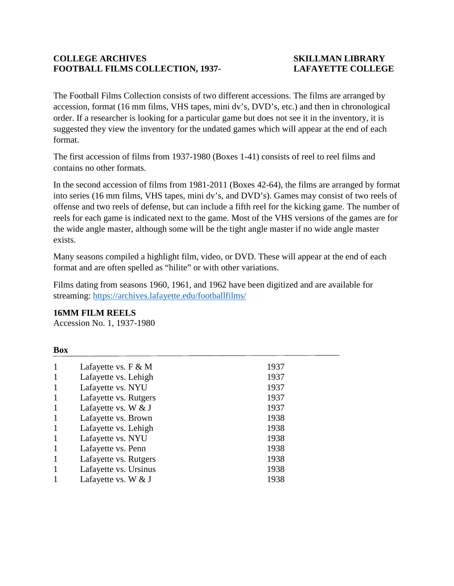#### **COLLEGE ARCHIVES SKILLMAN LIBRARY FOOTBALL FILMS COLLECTION, 1937- LAFAYETTE COLLEGE**

The Football Films Collection consists of two different accessions. The films are arranged by accession, format (16 mm films, VHS tapes, mini dv's, DVD's, etc.) and then in chronological order. If a researcher is looking for a particular game but does not see it in the inventory, it is suggested they view the inventory for the undated games which will appear at the end of each format.

The first accession of films from 1937-1980 (Boxes 1-41) consists of reel to reel films and contains no other formats.

In the second accession of films from 1981-2011 (Boxes 42-64), the films are arranged by format into series (16 mm films, VHS tapes, mini dv's, and DVD's). Games may consist of two reels of offense and two reels of defense, but can include a fifth reel for the kicking game. The number of reels for each game is indicated next to the game. Most of the VHS versions of the games are for the wide angle master, although some will be the tight angle master if no wide angle master exists.

Many seasons compiled a highlight film, video, or DVD. These will appear at the end of each format and are often spelled as "hilite" or with other variations.

Films dating from seasons 1960, 1961, and 1962 have been digitized and are available for streaming:<https://archives.lafayette.edu/footballfilms/>

#### **16MM FILM REELS**

**Box**

Accession No. 1, 1937-1980

| Lafayette vs. $F \& M$ | 1937 |
|------------------------|------|
| Lafayette vs. Lehigh   | 1937 |
| Lafayette vs. NYU      | 1937 |
| Lafayette vs. Rutgers  | 1937 |
| Lafayette vs. W $&$ J  | 1937 |
| Lafayette vs. Brown    | 1938 |
| Lafayette vs. Lehigh   | 1938 |
| Lafayette vs. NYU      | 1938 |
| Lafayette vs. Penn     | 1938 |
| Lafayette vs. Rutgers  | 1938 |
| Lafayette vs. Ursinus  | 1938 |
| Lafayette vs. W $&$ J  | 1938 |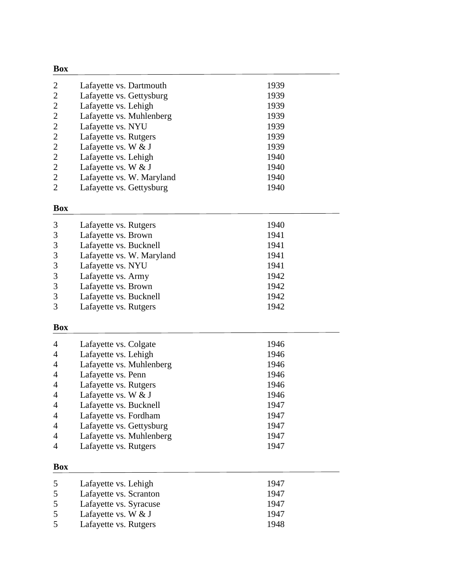| <b>Box</b>    |                           |      |
|---------------|---------------------------|------|
| 2             | Lafayette vs. Dartmouth   | 1939 |
| 2             | Lafayette vs. Gettysburg  | 1939 |
| 2             | Lafayette vs. Lehigh      | 1939 |
| 2             | Lafayette vs. Muhlenberg  | 1939 |
| 2             | Lafayette vs. NYU         | 1939 |
| 2             | Lafayette vs. Rutgers     | 1939 |
| 2             | Lafayette vs. W $&$ J     | 1939 |
| 2             | Lafayette vs. Lehigh      | 1940 |
| 2             | Lafayette vs. W $&$ J     | 1940 |
| 2             | Lafayette vs. W. Maryland | 1940 |
| $\mathcal{D}$ | Lafayette vs. Gettysburg  | 1940 |

| 3             | Lafayette vs. Rutgers     | 1940 |
|---------------|---------------------------|------|
| 3             | Lafayette vs. Brown       | 1941 |
| 3             | Lafayette vs. Bucknell    | 1941 |
| 3             | Lafayette vs. W. Maryland | 1941 |
| 3             | Lafayette vs. NYU         | 1941 |
| 3             | Lafayette vs. Army        | 1942 |
| 3             | Lafayette vs. Brown       | 1942 |
| 3             | Lafayette vs. Bucknell    | 1942 |
| $\mathcal{R}$ | Lafayette vs. Rutgers     | 1942 |

#### **Box**

| $\overline{4}$ | Lafayette vs. Colgate    | 1946 |
|----------------|--------------------------|------|
| $\overline{4}$ | Lafayette vs. Lehigh     | 1946 |
| $\overline{4}$ | Lafayette vs. Muhlenberg | 1946 |
| $\overline{4}$ | Lafayette vs. Penn       | 1946 |
| $\overline{4}$ | Lafayette vs. Rutgers    | 1946 |
| $\overline{4}$ | Lafayette vs. W & J      | 1946 |
| $\overline{4}$ | Lafayette vs. Bucknell   | 1947 |
| $\overline{4}$ | Lafayette vs. Fordham    | 1947 |
| $\overline{4}$ | Lafayette vs. Gettysburg | 1947 |
| $\overline{4}$ | Lafayette vs. Muhlenberg | 1947 |
| $\overline{4}$ | Lafayette vs. Rutgers    | 1947 |

|   | Lafayette vs. Lehigh                             | 1947<br>1947 |
|---|--------------------------------------------------|--------------|
| 5 | Lafayette vs. Scranton<br>Lafayette vs. Syracuse | 1947         |
|   | Lafayette vs. W $&$ J                            | 1947         |
|   | Lafayette vs. Rutgers                            | 1948         |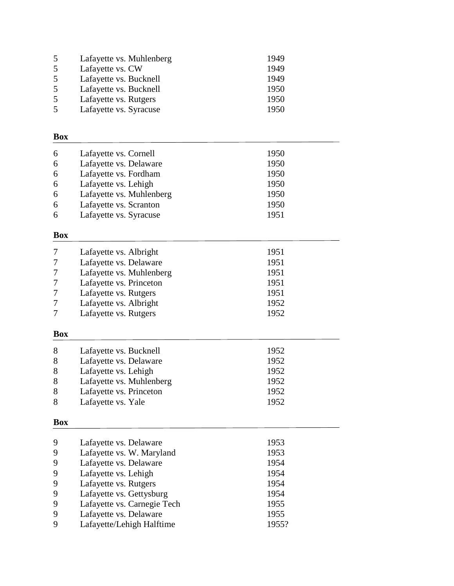|   | Lafayette vs. Muhlenberg | 1949 |
|---|--------------------------|------|
| 5 | Lafayette vs. CW         | 1949 |
|   | Lafayette vs. Bucknell   | 1949 |
| 5 | Lafayette vs. Bucknell   | 1950 |
|   | Lafayette vs. Rutgers    | 1950 |
|   | Lafayette vs. Syracuse   | 1950 |

| 6 | Lafayette vs. Cornell    | 1950 |
|---|--------------------------|------|
| 6 | Lafayette vs. Delaware   | 1950 |
| 6 | Lafayette vs. Fordham    | 1950 |
| 6 | Lafayette vs. Lehigh     | 1950 |
| 6 | Lafayette vs. Muhlenberg | 1950 |
| 6 | Lafayette vs. Scranton   | 1950 |
| 6 | Lafayette vs. Syracuse   | 1951 |
|   |                          |      |

# **Box**

|            | Lafayette vs. Albright   | 1951 |
|------------|--------------------------|------|
|            | Lafayette vs. Delaware   | 1951 |
|            | Lafayette vs. Muhlenberg | 1951 |
|            | Lafayette vs. Princeton  | 1951 |
|            | Lafayette vs. Rutgers    | 1951 |
|            | Lafayette vs. Albright   | 1952 |
|            | Lafayette vs. Rutgers    | 1952 |
| <b>Box</b> |                          |      |
| 8          | Lafayette vs. Bucknell   | 1952 |
| 8          | Lafayette vs. Delaware   | 1952 |
| 8          | Lafayette vs. Lehigh     | 1952 |
| 8          | Lafayette vs. Muhlenberg | 1952 |
| 8          | Lafayette vs. Princeton  | 1952 |
|            |                          |      |

8 Lafayette vs. Yale 1952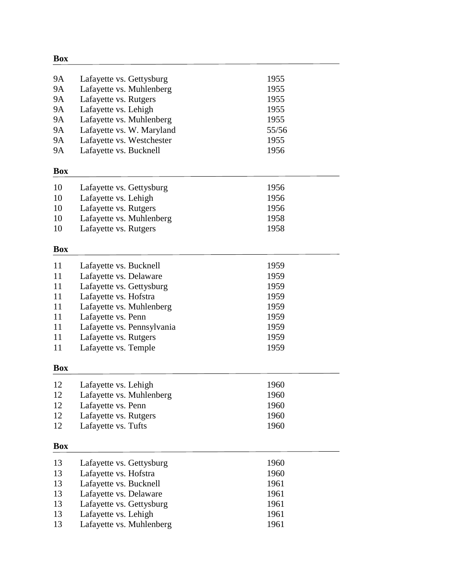| <b>9A</b>  | Lafayette vs. Gettysburg                          | 1955  |
|------------|---------------------------------------------------|-------|
| <b>9A</b>  | Lafayette vs. Muhlenberg                          | 1955  |
| <b>9A</b>  | Lafayette vs. Rutgers                             | 1955  |
| <b>9A</b>  | Lafayette vs. Lehigh                              | 1955  |
| 9A         | Lafayette vs. Muhlenberg                          | 1955  |
| <b>9A</b>  | Lafayette vs. W. Maryland                         | 55/56 |
| <b>9A</b>  | Lafayette vs. Westchester                         | 1955  |
| 9A         | Lafayette vs. Bucknell                            | 1956  |
| <b>Box</b> |                                                   |       |
|            |                                                   |       |
| 10         | Lafayette vs. Gettysburg                          | 1956  |
| 10         | Lafayette vs. Lehigh                              | 1956  |
| 10         | Lafayette vs. Rutgers                             | 1956  |
| 10         | Lafayette vs. Muhlenberg                          | 1958  |
| 10         | Lafayette vs. Rutgers                             | 1958  |
| <b>Box</b> |                                                   |       |
| 11         | Lafayette vs. Bucknell                            | 1959  |
| 11         | Lafayette vs. Delaware                            | 1959  |
| 11         | Lafayette vs. Gettysburg                          | 1959  |
| 11         | Lafayette vs. Hofstra                             | 1959  |
| 11         | Lafayette vs. Muhlenberg                          | 1959  |
| 11         | Lafayette vs. Penn                                | 1959  |
| 11         | Lafayette vs. Pennsylvania                        | 1959  |
| 11         | Lafayette vs. Rutgers                             | 1959  |
| 11         | Lafayette vs. Temple                              | 1959  |
|            |                                                   |       |
| <b>Box</b> |                                                   |       |
| 12         | Lafayette vs. Lehigh                              | 1960  |
| 12         | Lafayette vs. Muhlenberg                          | 1960  |
| 12         | Lafayette vs. Penn                                | 1960  |
| 12         | Lafayette vs. Rutgers                             | 1960  |
| 12         | Lafayette vs. Tufts                               | 1960  |
| Box        |                                                   |       |
| 13         |                                                   | 1960  |
| 13         | Lafayette vs. Gettysburg<br>Lafayette vs. Hofstra | 1960  |
| 13         |                                                   | 1961  |
| 13         | Lafayette vs. Bucknell<br>Lafayette vs. Delaware  | 1961  |
| 13         |                                                   | 1961  |
| 13         | Lafayette vs. Gettysburg<br>Lafayette vs. Lehigh  | 1961  |
| 13         |                                                   | 1961  |
|            | Lafayette vs. Muhlenberg                          |       |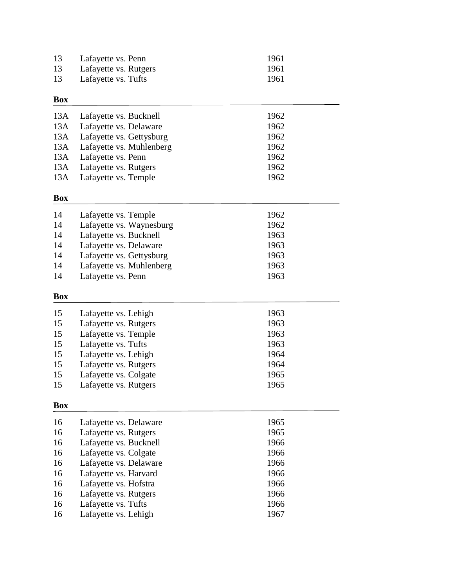| 13 | Lafayette vs. Penn    | 1961 |
|----|-----------------------|------|
| 13 | Lafayette vs. Rutgers | 1961 |
| 13 | Lafayette vs. Tufts   | 1961 |

| 13A Lafayette vs. Bucknell<br>13A Lafayette vs. Delaware<br>13A Lafayette vs. Gettysburg<br>13A Lafayette vs. Muhlenberg<br>13A Lafayette vs. Penn | 1962<br>1962<br>1962<br>1962<br>1962 |
|----------------------------------------------------------------------------------------------------------------------------------------------------|--------------------------------------|
| 13A Lafayette vs. Rutgers                                                                                                                          | 1962                                 |
| 13A Lafayette vs. Temple                                                                                                                           | 1962                                 |

## **Box**

| 14 | Lafayette vs. Temple     | 1962 |
|----|--------------------------|------|
| 14 | Lafayette vs. Waynesburg | 1962 |
| 14 | Lafayette vs. Bucknell   | 1963 |
| 14 | Lafayette vs. Delaware   | 1963 |
| 14 | Lafayette vs. Gettysburg | 1963 |
| 14 | Lafayette vs. Muhlenberg | 1963 |
| 14 | Lafayette vs. Penn       | 1963 |

## **Box**

| 15 | Lafayette vs. Lehigh  | 1963 |
|----|-----------------------|------|
| 15 | Lafayette vs. Rutgers | 1963 |
| 15 | Lafayette vs. Temple  | 1963 |
| 15 | Lafayette vs. Tufts   | 1963 |
| 15 | Lafayette vs. Lehigh  | 1964 |
| 15 | Lafayette vs. Rutgers | 1964 |
| 15 | Lafayette vs. Colgate | 1965 |
| 15 | Lafayette vs. Rutgers | 1965 |

| 16 | Lafayette vs. Delaware | 1965 |
|----|------------------------|------|
| 16 | Lafayette vs. Rutgers  | 1965 |
| 16 | Lafayette vs. Bucknell | 1966 |
| 16 | Lafayette vs. Colgate  | 1966 |
| 16 | Lafayette vs. Delaware | 1966 |
| 16 | Lafayette vs. Harvard  | 1966 |
| 16 | Lafayette vs. Hofstra  | 1966 |
| 16 | Lafayette vs. Rutgers  | 1966 |
| 16 | Lafayette vs. Tufts    | 1966 |
| 16 | Lafayette vs. Lehigh   | 1967 |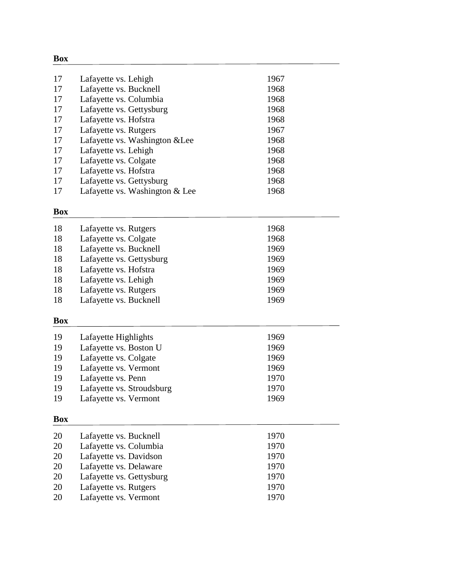| 17 | Lafayette vs. Lehigh           | 1967 |  |
|----|--------------------------------|------|--|
| 17 | Lafayette vs. Bucknell         | 1968 |  |
| 17 | Lafayette vs. Columbia         | 1968 |  |
| 17 | Lafayette vs. Gettysburg       | 1968 |  |
| 17 | Lafayette vs. Hofstra          | 1968 |  |
| 17 | Lafayette vs. Rutgers          | 1967 |  |
| 17 | Lafayette vs. Washington & Lee | 1968 |  |
| 17 | Lafayette vs. Lehigh           | 1968 |  |
| 17 | Lafayette vs. Colgate          | 1968 |  |
| 17 | Lafayette vs. Hofstra          | 1968 |  |
| 17 | Lafayette vs. Gettysburg       | 1968 |  |
| 17 | Lafayette vs. Washington & Lee | 1968 |  |

#### **Box**

| 18 | Lafayette vs. Rutgers    | 1968 |
|----|--------------------------|------|
| 18 | Lafayette vs. Colgate    | 1968 |
| 18 | Lafayette vs. Bucknell   | 1969 |
| 18 | Lafayette vs. Gettysburg | 1969 |
| 18 | Lafayette vs. Hofstra    | 1969 |
| 18 | Lafayette vs. Lehigh     | 1969 |
| 18 | Lafayette vs. Rutgers    | 1969 |
| 18 | Lafayette vs. Bucknell   | 1969 |
|    |                          |      |
| T. |                          |      |

#### **Box**

| 19 | Lafayette vs. Vermont     | 1969 |  |
|----|---------------------------|------|--|
| 19 | Lafayette vs. Stroudsburg | 1970 |  |
| 19 | Lafayette vs. Penn        | 1970 |  |
| 19 | Lafayette vs. Vermont     | 1969 |  |
| 19 | Lafayette vs. Colgate     | 1969 |  |
| 19 | Lafayette vs. Boston U    | 1969 |  |
| 19 | Lafayette Highlights      | 1969 |  |

—

| 20 | Lafayette vs. Bucknell   | 1970 |
|----|--------------------------|------|
| 20 | Lafayette vs. Columbia   | 1970 |
| 20 | Lafayette vs. Davidson   | 1970 |
| 20 | Lafayette vs. Delaware   | 1970 |
| 20 | Lafayette vs. Gettysburg | 1970 |
| 20 | Lafayette vs. Rutgers    | 1970 |
| 20 | Lafayette vs. Vermont    | 1970 |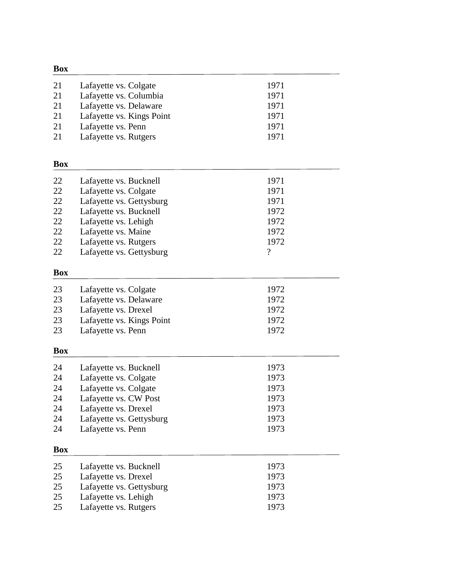| <b>Box</b> |                           |                          |  |
|------------|---------------------------|--------------------------|--|
| 21         | Lafayette vs. Colgate     | 1971                     |  |
| 21         | Lafayette vs. Columbia    | 1971                     |  |
| 21         | Lafayette vs. Delaware    | 1971                     |  |
| 21         | Lafayette vs. Kings Point | 1971                     |  |
| 21         | Lafayette vs. Penn        | 1971                     |  |
| 21         | Lafayette vs. Rutgers     | 1971                     |  |
| <b>Box</b> |                           |                          |  |
| 22         | Lafayette vs. Bucknell    | 1971                     |  |
| 22         | Lafayette vs. Colgate     | 1971                     |  |
| 22         | Lafayette vs. Gettysburg  | 1971                     |  |
| 22         | Lafayette vs. Bucknell    | 1972                     |  |
| 22         | Lafayette vs. Lehigh      | 1972                     |  |
| 22         | Lafayette vs. Maine       | 1972                     |  |
| 22         | Lafayette vs. Rutgers     | 1972                     |  |
| 22         | Lafayette vs. Gettysburg  | $\overline{\mathcal{L}}$ |  |
| <b>Box</b> |                           |                          |  |
| 23         | Lafayette vs. Colgate     | 1972                     |  |
| 23         | Lafayette vs. Delaware    | 1972                     |  |
| 23         | Lafayette vs. Drexel      | 1972                     |  |
| 23         | Lafayette vs. Kings Point | 1972                     |  |
| 23         | Lafayette vs. Penn        | 1972                     |  |
| <b>Box</b> |                           |                          |  |
| 24         | Lafayette vs. Bucknell    | 1973                     |  |
| 24         | Lafayette vs. Colgate     | 1973                     |  |
| 24         | Lafayette vs. Colgate     | 1973                     |  |
| 24         | Lafayette vs. CW Post     | 1973                     |  |
| 24         | Lafayette vs. Drexel      | 1973                     |  |
| 24         | Lafayette vs. Gettysburg  | 1973                     |  |
| 24         | Lafayette vs. Penn        | 1973                     |  |
| <b>Box</b> |                           |                          |  |
| 25         | Lafayette vs. Bucknell    | 1973                     |  |
| 25         | Lafayette vs. Drexel      | 1973                     |  |
| 25         | Lafayette vs. Gettysburg  | 1973                     |  |
| 25         | Lafayette vs. Lehigh      | 1973                     |  |
| 25         | Lafayette vs. Rutgers     | 1973                     |  |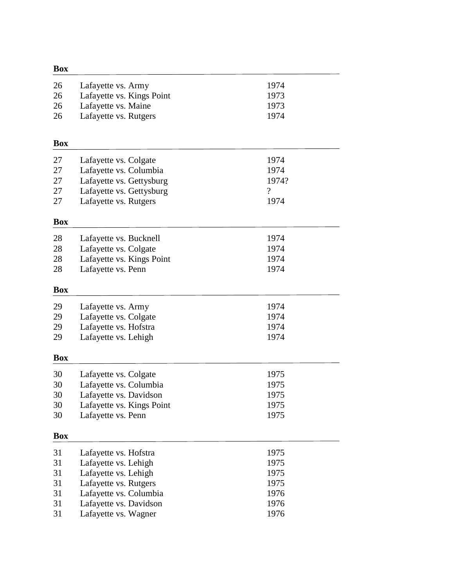| 1974<br>26<br>Lafayette vs. Army                           |  |
|------------------------------------------------------------|--|
| 26<br>Lafayette vs. Kings Point<br>1973                    |  |
| Lafayette vs. Maine<br>1973<br>26                          |  |
| Lafayette vs. Rutgers<br>26<br>1974                        |  |
| <b>Box</b>                                                 |  |
| 27<br>1974<br>Lafayette vs. Colgate                        |  |
| 27<br>Lafayette vs. Columbia<br>1974                       |  |
| 27<br>Lafayette vs. Gettysburg<br>1974?                    |  |
| $\overline{\mathcal{C}}$<br>27<br>Lafayette vs. Gettysburg |  |
| 27<br>1974<br>Lafayette vs. Rutgers                        |  |
| <b>Box</b>                                                 |  |
| 28<br>1974<br>Lafayette vs. Bucknell                       |  |
| 28<br>1974<br>Lafayette vs. Colgate                        |  |
| 28<br>Lafayette vs. Kings Point<br>1974                    |  |
| 28<br>Lafayette vs. Penn<br>1974                           |  |
| <b>Box</b>                                                 |  |
| 29<br>Lafayette vs. Army<br>1974                           |  |
| 29<br>Lafayette vs. Colgate<br>1974                        |  |
| Lafayette vs. Hofstra<br>29<br>1974                        |  |
| Lafayette vs. Lehigh<br>1974<br>29                         |  |
| <b>Box</b>                                                 |  |
| 30<br>1975<br>Lafayette vs. Colgate                        |  |
| 30<br>Lafayette vs. Columbia<br>1975                       |  |
| 30<br>Lafayette vs. Davidson<br>1975                       |  |
| 30<br>Lafayette vs. Kings Point<br>1975                    |  |
| 30<br>Lafayette vs. Penn<br>1975                           |  |
| <b>Box</b>                                                 |  |
| 31<br>Lafayette vs. Hofstra<br>1975                        |  |
| 31<br>Lafayette vs. Lehigh<br>1975                         |  |
| 31<br>Lafayette vs. Lehigh<br>1975                         |  |
| 31<br>1975<br>Lafayette vs. Rutgers                        |  |
| 31<br>Lafayette vs. Columbia<br>1976                       |  |
| 31<br>Lafayette vs. Davidson<br>1976                       |  |
| 31<br>Lafayette vs. Wagner<br>1976                         |  |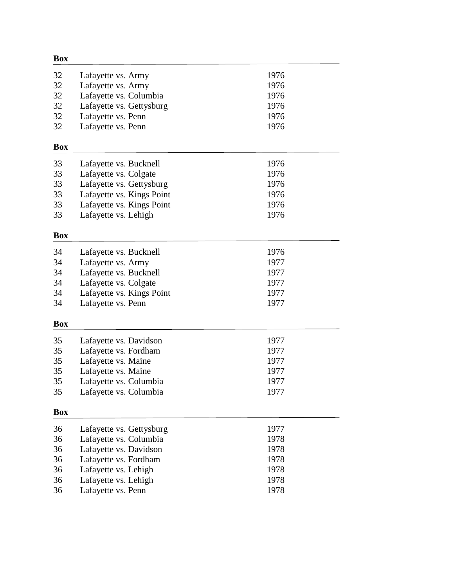| <b>Box</b> |                           |      |
|------------|---------------------------|------|
| 32         | Lafayette vs. Army        | 1976 |
| 32         | Lafayette vs. Army        | 1976 |
| 32         | Lafayette vs. Columbia    | 1976 |
| 32         | Lafayette vs. Gettysburg  | 1976 |
| 32         | Lafayette vs. Penn        | 1976 |
| 32         | Lafayette vs. Penn        | 1976 |
| <b>Box</b> |                           |      |
| 33         | Lafayette vs. Bucknell    | 1976 |
| 33         | Lafayette vs. Colgate     | 1976 |
| 33         | Lafayette vs. Gettysburg  | 1976 |
| 33         | Lafayette vs. Kings Point | 1976 |
| 33         | Lafayette vs. Kings Point | 1976 |
| 33         | Lafayette vs. Lehigh      | 1976 |
| <b>Box</b> |                           |      |
| 34         | Lafayette vs. Bucknell    | 1976 |
| 34         | Lafayette vs. Army        | 1977 |
| 34         | Lafayette vs. Bucknell    | 1977 |
| 34         | Lafayette vs. Colgate     | 1977 |
| 34         | Lafayette vs. Kings Point | 1977 |
| 34         | Lafayette vs. Penn        | 1977 |
| <b>Box</b> |                           |      |
| 35         | Lafayette vs. Davidson    | 1977 |
| 35         | Lafayette vs. Fordham     | 1977 |
| 35         | Lafayette vs. Maine       | 1977 |
| 35         | Lafayette vs. Maine       | 1977 |
| 35         |                           |      |
|            | Lafayette vs. Columbia    | 1977 |
| 35         | Lafayette vs. Columbia    | 1977 |
| <b>Box</b> |                           |      |
| 36         | Lafayette vs. Gettysburg  | 1977 |
| 36         | Lafayette vs. Columbia    | 1978 |
| 36         | Lafayette vs. Davidson    | 1978 |
| 36         | Lafayette vs. Fordham     | 1978 |
| 36         | Lafayette vs. Lehigh      | 1978 |
| 36         | Lafayette vs. Lehigh      | 1978 |
| 36         | Lafayette vs. Penn        | 1978 |
|            |                           |      |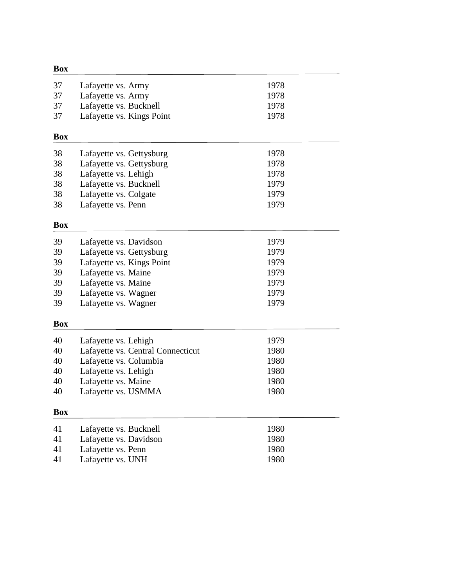| <b>Box</b> |                                   |      |
|------------|-----------------------------------|------|
| 37         | Lafayette vs. Army                | 1978 |
| 37         | Lafayette vs. Army                | 1978 |
| 37         | Lafayette vs. Bucknell            | 1978 |
| 37         | Lafayette vs. Kings Point         | 1978 |
| <b>Box</b> |                                   |      |
| 38         | Lafayette vs. Gettysburg          | 1978 |
| 38         | Lafayette vs. Gettysburg          | 1978 |
| 38         | Lafayette vs. Lehigh              | 1978 |
| 38         | Lafayette vs. Bucknell            | 1979 |
| 38         | Lafayette vs. Colgate             | 1979 |
| 38         | Lafayette vs. Penn                | 1979 |
| <b>Box</b> |                                   |      |
| 39         | Lafayette vs. Davidson            | 1979 |
| 39         | Lafayette vs. Gettysburg          | 1979 |
| 39         | Lafayette vs. Kings Point         | 1979 |
| 39         | Lafayette vs. Maine               | 1979 |
| 39         | Lafayette vs. Maine               | 1979 |
| 39         | Lafayette vs. Wagner              | 1979 |
| 39         | Lafayette vs. Wagner              | 1979 |
| <b>Box</b> |                                   |      |
| 40         | Lafayette vs. Lehigh              | 1979 |
| 40         | Lafayette vs. Central Connecticut | 1980 |
| 40         | Lafayette vs. Columbia            | 1980 |
| 40         | Lafayette vs. Lehigh              | 1980 |
| 40         | Lafayette vs. Maine               | 1980 |
| 40         | Lafayette vs. USMMA               | 1980 |
| <b>Box</b> |                                   |      |
| 41         | Lafayette vs. Bucknell            | 1980 |
| 41         | Lafayette vs. Davidson            | 1980 |
| 41         | Lafayette vs. Penn                | 1980 |
| 41         | Lafayette vs. UNH                 | 1980 |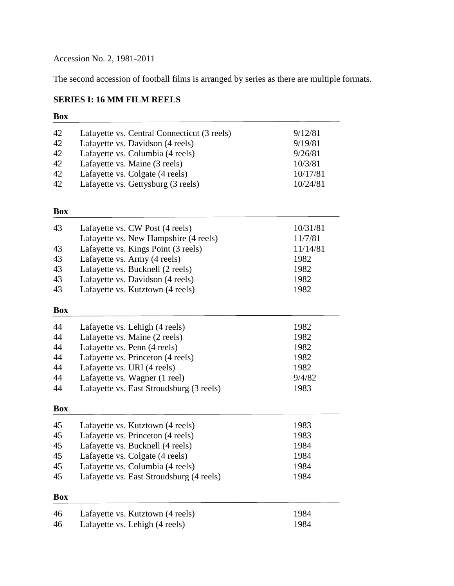Accession No. 2, 1981-2011

The second accession of football films is arranged by series as there are multiple formats.

# **SERIES I: 16 MM FILM REELS**

| 42<br>42<br>42 | Lafayette vs. Central Connecticut (3 reels)<br>Lafayette vs. Davidson (4 reels)<br>Lafayette vs. Columbia (4 reels) | 9/12/81<br>9/19/81<br>9/26/81 |
|----------------|---------------------------------------------------------------------------------------------------------------------|-------------------------------|
| 42             | Lafayette vs. Maine (3 reels)                                                                                       | 10/3/81                       |
| 42             | Lafayette vs. Colgate (4 reels)                                                                                     | 10/17/81                      |
| 42             | Lafayette vs. Gettysburg (3 reels)                                                                                  | 10/24/81                      |
| <b>Box</b>     |                                                                                                                     |                               |
| 43             | Lafayette vs. CW Post (4 reels)                                                                                     | 10/31/81                      |
|                | Lafayette vs. New Hampshire (4 reels)                                                                               | 11/7/81                       |
| 43             | Lafayette vs. Kings Point (3 reels)                                                                                 | 11/14/81                      |
| 43             | Lafayette vs. Army (4 reels)                                                                                        | 1982                          |
| 43             | Lafayette vs. Bucknell (2 reels)                                                                                    | 1982                          |
| 43             | Lafayette vs. Davidson (4 reels)                                                                                    | 1982                          |
| 43             | Lafayette vs. Kutztown (4 reels)                                                                                    | 1982                          |
| <b>Box</b>     |                                                                                                                     |                               |
| 44             | Lafayette vs. Lehigh (4 reels)                                                                                      | 1982                          |
| 44             | Lafayette vs. Maine (2 reels)                                                                                       | 1982                          |
| 44             | Lafayette vs. Penn (4 reels)                                                                                        | 1982                          |
| 44             | Lafayette vs. Princeton (4 reels)                                                                                   | 1982                          |
| 44             | Lafayette vs. URI (4 reels)                                                                                         | 1982                          |
| 44             | Lafayette vs. Wagner (1 reel)                                                                                       | 9/4/82                        |
| 44             | Lafayette vs. East Stroudsburg (3 reels)                                                                            | 1983                          |
| <b>Box</b>     |                                                                                                                     |                               |
| 45             | Lafayette vs. Kutztown (4 reels)                                                                                    | 1983                          |
| 45             | Lafayette vs. Princeton (4 reels)                                                                                   | 1983                          |
| 45             | Lafayette vs. Bucknell (4 reels)                                                                                    | 1984                          |
| 45             | Lafayette vs. Colgate (4 reels)                                                                                     | 1984                          |
| 45             | Lafayette vs. Columbia (4 reels)                                                                                    | 1984                          |
| 45             | Lafayette vs. East Stroudsburg (4 reels)                                                                            | 1984                          |
| <b>Box</b>     |                                                                                                                     |                               |
| 46             | Lafayette vs. Kutztown (4 reels)                                                                                    | 1984                          |
| 46             | Lafayette vs. Lehigh (4 reels)                                                                                      | 1984                          |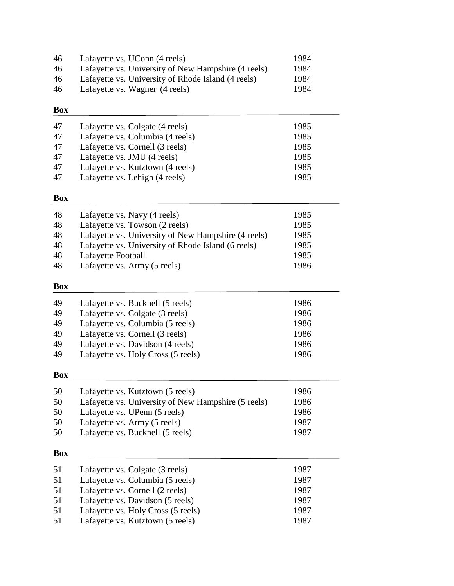| 46 | Lafayette vs. UConn (4 reels)                       | 1984 |
|----|-----------------------------------------------------|------|
| 46 | Lafayette vs. University of New Hampshire (4 reels) | 1984 |
| 46 | Lafayette vs. University of Rhode Island (4 reels)  | 1984 |
| 46 | Lafayette vs. Wagner (4 reels)                      | 1984 |
|    |                                                     |      |

| 47 | Lafayette vs. Colgate (4 reels)  | 1985 |
|----|----------------------------------|------|
| 47 | Lafayette vs. Columbia (4 reels) | 1985 |
| 47 | Lafayette vs. Cornell (3 reels)  | 1985 |
| 47 | Lafayette vs. JMU (4 reels)      | 1985 |
| 47 | Lafayette vs. Kutztown (4 reels) | 1985 |
| 47 | Lafayette vs. Lehigh (4 reels)   | 1985 |

# **Box**

| 48 | Lafayette vs. Navy (4 reels)                        | 1985 |
|----|-----------------------------------------------------|------|
| 48 | Lafayette vs. Towson (2 reels)                      | 1985 |
| 48 | Lafayette vs. University of New Hampshire (4 reels) | 1985 |
| 48 | Lafayette vs. University of Rhode Island (6 reels)  | 1985 |
| 48 | Lafayette Football                                  | 1985 |
| 48 | Lafayette vs. Army (5 reels)                        | 1986 |

# **Box**

| 49       | Lafayette vs. Bucknell (5 reels)                                    | 1986         |
|----------|---------------------------------------------------------------------|--------------|
| 49<br>49 | Lafayette vs. Colgate (3 reels)<br>Lafayette vs. Columbia (5 reels) | 1986<br>1986 |
| 49       | Lafayette vs. Cornell (3 reels)                                     | 1986         |
| 49       | Lafayette vs. Davidson (4 reels)                                    | 1986         |
| 49       | Lafayette vs. Holy Cross (5 reels)                                  | 1986         |

#### **Box**

| 50 | Lafayette vs. Kutztown (5 reels)                    | 1986 |
|----|-----------------------------------------------------|------|
| 50 | Lafayette vs. University of New Hampshire (5 reels) | 1986 |
| 50 | Lafayette vs. UPenn (5 reels)                       | 1986 |
| 50 | Lafayette vs. Army (5 reels)                        | 1987 |
| 50 | Lafayette vs. Bucknell (5 reels)                    | 1987 |

| 51 | Lafayette vs. Colgate (3 reels)    | 1987 |
|----|------------------------------------|------|
| 51 | Lafayette vs. Columbia (5 reels)   | 1987 |
| 51 | Lafayette vs. Cornell (2 reels)    | 1987 |
| 51 | Lafayette vs. Davidson (5 reels)   | 1987 |
| 51 | Lafayette vs. Holy Cross (5 reels) | 1987 |
| 51 | Lafayette vs. Kutztown (5 reels)   | 1987 |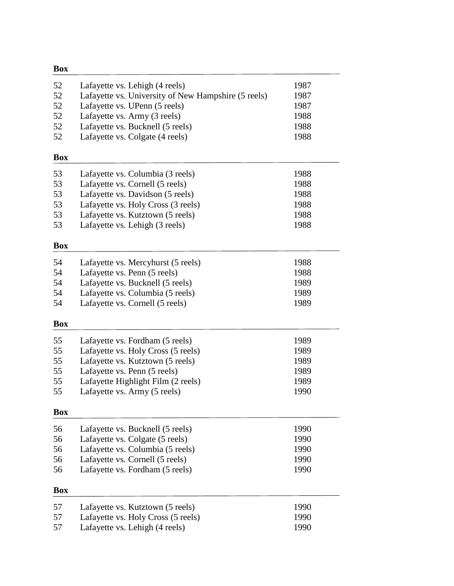| <b>Box</b> |                                                     |      |
|------------|-----------------------------------------------------|------|
| 52         | Lafayette vs. Lehigh (4 reels)                      | 1987 |
| 52         | Lafayette vs. University of New Hampshire (5 reels) | 1987 |
| 52         | Lafayette vs. UPenn (5 reels)                       | 1987 |
| 52         | Lafayette vs. Army (3 reels)                        | 1988 |
| 52         | Lafayette vs. Bucknell (5 reels)                    | 1988 |
| 52         | Lafayette vs. Colgate (4 reels)                     | 1988 |
| <b>Box</b> |                                                     |      |
| 53         | Lafayette vs. Columbia (3 reels)                    | 1988 |
| 53         | Lafayette vs. Cornell (5 reels)                     | 1988 |
| 53         | Lafayette vs. Davidson (5 reels)                    | 1988 |
| 53         | Lafayette vs. Holy Cross (3 reels)                  | 1988 |
| 53         | Lafayette vs. Kutztown (5 reels)                    | 1988 |
| 53         | Lafayette vs. Lehigh (3 reels)                      | 1988 |
| <b>Box</b> |                                                     |      |
| 54         | Lafayette vs. Mercyhurst (5 reels)                  | 1988 |
| 54         | Lafayette vs. Penn (5 reels)                        | 1988 |
| 54         | Lafayette vs. Bucknell (5 reels)                    | 1989 |
| 54         | Lafayette vs. Columbia (5 reels)                    | 1989 |
| 54         | Lafayette vs. Cornell (5 reels)                     | 1989 |
| <b>Box</b> |                                                     |      |
| 55         | Lafayette vs. Fordham (5 reels)                     | 1989 |
| 55         | Lafayette vs. Holy Cross (5 reels)                  | 1989 |
| 55         | Lafayette vs. Kutztown (5 reels)                    | 1989 |
| 55         | Lafayette vs. Penn (5 reels)                        | 1989 |
| 55         | Lafayette Highlight Film (2 reels)                  | 1989 |
| 55         | Lafayette vs. Army (5 reels)                        | 1990 |
| <b>Box</b> |                                                     |      |
| 56         | Lafayette vs. Bucknell (5 reels)                    | 1990 |
| 56         | Lafayette vs. Colgate (5 reels)                     | 1990 |
| 56         | Lafayette vs. Columbia (5 reels)                    | 1990 |
| 56         | Lafayette vs. Cornell (5 reels)                     | 1990 |
| 56         | Lafayette vs. Fordham (5 reels)                     | 1990 |
| Box        |                                                     |      |
| 57         | Lafayette vs. Kutztown (5 reels)                    | 1990 |
| 57         | Lafayette vs. Holy Cross (5 reels)                  | 1990 |
| 57         | Lafayette vs. Lehigh (4 reels)                      | 1990 |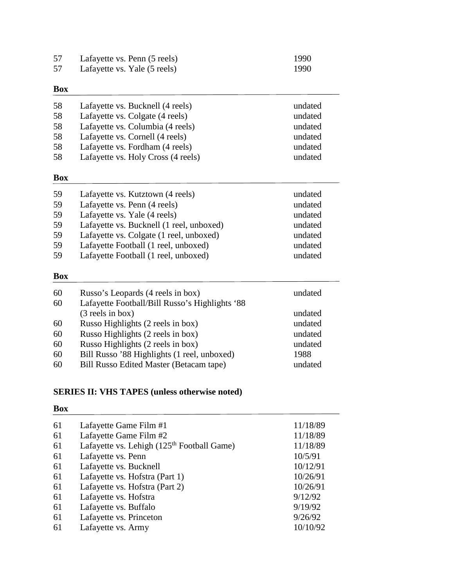| 57 | Lafayette vs. Penn (5 reels) | 1990 |
|----|------------------------------|------|
| 57 | Lafayette vs. Yale (5 reels) | 1990 |

| 58<br>58<br>58<br>58<br>58<br>58 | Lafayette vs. Bucknell (4 reels)<br>Lafayette vs. Colgate (4 reels)<br>Lafayette vs. Columbia (4 reels)<br>Lafayette vs. Cornell (4 reels)<br>Lafayette vs. Fordham (4 reels)<br>Lafayette vs. Holy Cross (4 reels) | undated<br>undated<br>undated<br>undated<br>undated<br>undated |
|----------------------------------|---------------------------------------------------------------------------------------------------------------------------------------------------------------------------------------------------------------------|----------------------------------------------------------------|
| <b>Box</b>                       |                                                                                                                                                                                                                     |                                                                |
| 59                               | Lafayette vs. Kutztown (4 reels)                                                                                                                                                                                    | undated                                                        |
| 59                               | Lafayette vs. Penn (4 reels)                                                                                                                                                                                        | undated                                                        |
| 59                               | Lafayette vs. Yale (4 reels)                                                                                                                                                                                        | undated                                                        |
| 59                               | Lafayette vs. Bucknell (1 reel, unboxed)                                                                                                                                                                            | undated                                                        |
| 59                               | Lafayette vs. Colgate (1 reel, unboxed)                                                                                                                                                                             | undated                                                        |
| 59                               | Lafayette Football (1 reel, unboxed)                                                                                                                                                                                | undated                                                        |
| 59                               | Lafayette Football (1 reel, unboxed)                                                                                                                                                                                | undated                                                        |
| <b>Box</b>                       |                                                                                                                                                                                                                     |                                                                |
| 60                               | Russo's Leopards (4 reels in box)                                                                                                                                                                                   | undated                                                        |
| 60                               | Lafayette Football/Bill Russo's Highlights '88                                                                                                                                                                      |                                                                |
|                                  | (3 reels in box)                                                                                                                                                                                                    | undated                                                        |
| 60                               | Russo Highlights (2 reels in box)                                                                                                                                                                                   | undated                                                        |
| 60                               | Russo Highlights (2 reels in box)                                                                                                                                                                                   | undated                                                        |
| 60                               | Russo Highlights (2 reels in box)                                                                                                                                                                                   | undated                                                        |
| 60                               | Bill Russo '88 Highlights (1 reel, unboxed)                                                                                                                                                                         | 1988                                                           |
| 60                               | <b>Bill Russo Edited Master (Betacam tape)</b>                                                                                                                                                                      | undated                                                        |

# **SERIES II: VHS TAPES (unless otherwise noted)**

| Lafayette Game Film #1                       | 11/18/89 |
|----------------------------------------------|----------|
| Lafayette Game Film #2                       | 11/18/89 |
| Lafayette vs. Lehigh $(125th$ Football Game) | 11/18/89 |
| Lafayette vs. Penn                           | 10/5/91  |
| Lafayette vs. Bucknell                       | 10/12/91 |
| Lafayette vs. Hofstra (Part 1)               | 10/26/91 |
| Lafayette vs. Hofstra (Part 2)               | 10/26/91 |
| Lafayette vs. Hofstra                        | 9/12/92  |
| Lafayette vs. Buffalo                        | 9/19/92  |
| Lafayette vs. Princeton                      | 9/26/92  |
| Lafayette vs. Army                           | 10/10/92 |
|                                              |          |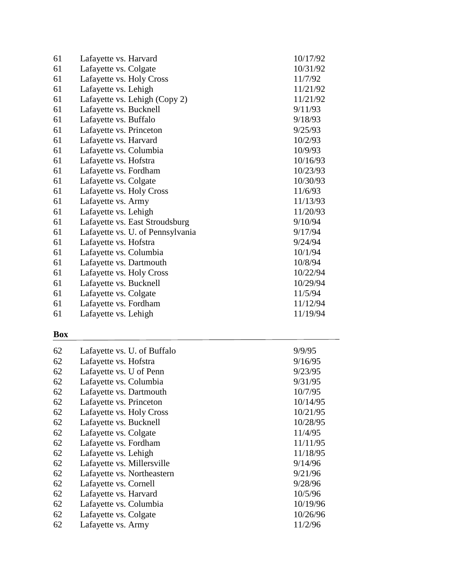| 61 | Lafayette vs. Harvard            | 10/17/92 |
|----|----------------------------------|----------|
| 61 | Lafayette vs. Colgate            | 10/31/92 |
| 61 | Lafayette vs. Holy Cross         | 11/7/92  |
| 61 | Lafayette vs. Lehigh             | 11/21/92 |
| 61 | Lafayette vs. Lehigh (Copy 2)    | 11/21/92 |
| 61 | Lafayette vs. Bucknell           | 9/11/93  |
| 61 | Lafayette vs. Buffalo            | 9/18/93  |
| 61 | Lafayette vs. Princeton          | 9/25/93  |
| 61 | Lafayette vs. Harvard            | 10/2/93  |
| 61 | Lafayette vs. Columbia           | 10/9/93  |
| 61 | Lafayette vs. Hofstra            | 10/16/93 |
| 61 | Lafayette vs. Fordham            | 10/23/93 |
| 61 | Lafayette vs. Colgate            | 10/30/93 |
| 61 | Lafayette vs. Holy Cross         | 11/6/93  |
| 61 | Lafayette vs. Army               | 11/13/93 |
| 61 | Lafayette vs. Lehigh             | 11/20/93 |
| 61 | Lafayette vs. East Stroudsburg   | 9/10/94  |
| 61 | Lafayette vs. U. of Pennsylvania | 9/17/94  |
| 61 | Lafayette vs. Hofstra            | 9/24/94  |
| 61 | Lafayette vs. Columbia           | 10/1/94  |
| 61 | Lafayette vs. Dartmouth          | 10/8/94  |
| 61 | Lafayette vs. Holy Cross         | 10/22/94 |
| 61 | Lafayette vs. Bucknell           | 10/29/94 |
| 61 | Lafayette vs. Colgate            | 11/5/94  |
| 61 | Lafayette vs. Fordham            | 11/12/94 |
| 61 | Lafayette vs. Lehigh             | 11/19/94 |

| 62 | Lafayette vs. U. of Buffalo | 9/9/95   |
|----|-----------------------------|----------|
| 62 | Lafayette vs. Hofstra       | 9/16/95  |
| 62 | Lafayette vs. U of Penn     | 9/23/95  |
| 62 | Lafayette vs. Columbia      | 9/31/95  |
| 62 | Lafayette vs. Dartmouth     | 10/7/95  |
| 62 | Lafayette vs. Princeton     | 10/14/95 |
| 62 | Lafayette vs. Holy Cross    | 10/21/95 |
| 62 | Lafayette vs. Bucknell      | 10/28/95 |
| 62 | Lafayette vs. Colgate       | 11/4/95  |
| 62 | Lafayette vs. Fordham       | 11/11/95 |
| 62 | Lafayette vs. Lehigh        | 11/18/95 |
| 62 | Lafayette vs. Millersville  | 9/14/96  |
| 62 | Lafayette vs. Northeastern  | 9/21/96  |
| 62 | Lafayette vs. Cornell       | 9/28/96  |
| 62 | Lafayette vs. Harvard       | 10/5/96  |
| 62 | Lafayette vs. Columbia      | 10/19/96 |
| 62 | Lafayette vs. Colgate       | 10/26/96 |
| 62 | Lafayette vs. Army          | 11/2/96  |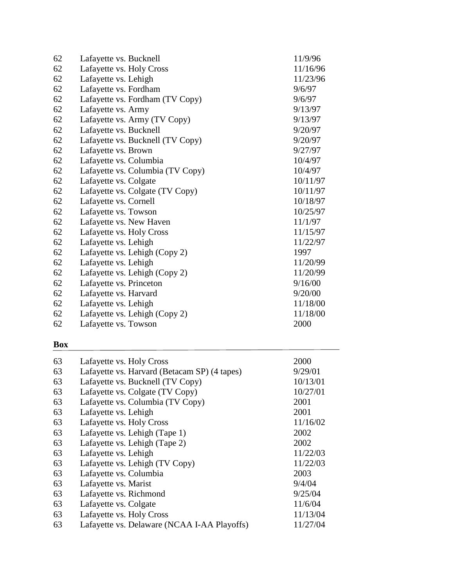| 62 | Lafayette vs. Bucknell           | 11/9/96  |
|----|----------------------------------|----------|
| 62 | Lafayette vs. Holy Cross         | 11/16/96 |
| 62 | Lafayette vs. Lehigh             | 11/23/96 |
| 62 | Lafayette vs. Fordham            | 9/6/97   |
| 62 | Lafayette vs. Fordham (TV Copy)  | 9/6/97   |
| 62 | Lafayette vs. Army               | 9/13/97  |
| 62 | Lafayette vs. Army (TV Copy)     | 9/13/97  |
| 62 | Lafayette vs. Bucknell           | 9/20/97  |
| 62 | Lafayette vs. Bucknell (TV Copy) | 9/20/97  |
| 62 | Lafayette vs. Brown              | 9/27/97  |
| 62 | Lafayette vs. Columbia           | 10/4/97  |
| 62 | Lafayette vs. Columbia (TV Copy) | 10/4/97  |
| 62 | Lafayette vs. Colgate            | 10/11/97 |
| 62 | Lafayette vs. Colgate (TV Copy)  | 10/11/97 |
| 62 | Lafayette vs. Cornell            | 10/18/97 |
| 62 | Lafayette vs. Towson             | 10/25/97 |
| 62 | Lafayette vs. New Haven          | 11/1/97  |
| 62 | Lafayette vs. Holy Cross         | 11/15/97 |
| 62 | Lafayette vs. Lehigh             | 11/22/97 |
| 62 | Lafayette vs. Lehigh (Copy 2)    | 1997     |
| 62 | Lafayette vs. Lehigh             | 11/20/99 |
| 62 | Lafayette vs. Lehigh (Copy 2)    | 11/20/99 |
| 62 | Lafayette vs. Princeton          | 9/16/00  |
| 62 | Lafayette vs. Harvard            | 9/20/00  |
| 62 | Lafayette vs. Lehigh             | 11/18/00 |
| 62 | Lafayette vs. Lehigh (Copy 2)    | 11/18/00 |
| 62 | Lafayette vs. Towson             | 2000     |

| 63 | Lafayette vs. Holy Cross                     | 2000     |
|----|----------------------------------------------|----------|
| 63 | Lafayette vs. Harvard (Betacam SP) (4 tapes) | 9/29/01  |
| 63 | Lafayette vs. Bucknell (TV Copy)             | 10/13/01 |
| 63 | Lafayette vs. Colgate (TV Copy)              | 10/27/01 |
| 63 | Lafayette vs. Columbia (TV Copy)             | 2001     |
| 63 | Lafayette vs. Lehigh                         | 2001     |
| 63 | Lafayette vs. Holy Cross                     | 11/16/02 |
| 63 | Lafayette vs. Lehigh (Tape 1)                | 2002     |
| 63 | Lafayette vs. Lehigh (Tape 2)                | 2002     |
| 63 | Lafayette vs. Lehigh                         | 11/22/03 |
| 63 | Lafayette vs. Lehigh (TV Copy)               | 11/22/03 |
| 63 | Lafayette vs. Columbia                       | 2003     |
| 63 | Lafayette vs. Marist                         | 9/4/04   |
| 63 | Lafayette vs. Richmond                       | 9/25/04  |
| 63 | Lafayette vs. Colgate                        | 11/6/04  |
| 63 | Lafayette vs. Holy Cross                     | 11/13/04 |
| 63 | Lafayette vs. Delaware (NCAA I-AA Playoffs)  | 11/27/04 |
|    |                                              |          |

 $\overline{\phantom{a}}$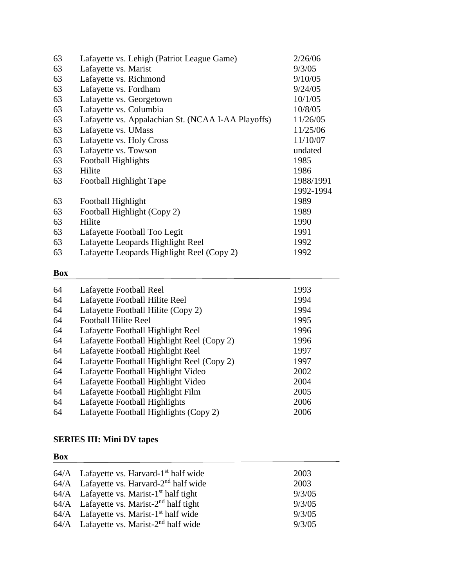| 63 | Lafayette vs. Lehigh (Patriot League Game)         | 2/26/06   |
|----|----------------------------------------------------|-----------|
| 63 | Lafayette vs. Marist                               | 9/3/05    |
| 63 | Lafayette vs. Richmond                             | 9/10/05   |
| 63 | Lafayette vs. Fordham                              | 9/24/05   |
| 63 | Lafayette vs. Georgetown                           | 10/1/05   |
| 63 | Lafayette vs. Columbia                             | 10/8/05   |
| 63 | Lafayette vs. Appalachian St. (NCAA I-AA Playoffs) | 11/26/05  |
| 63 | Lafayette vs. UMass                                | 11/25/06  |
| 63 | Lafayette vs. Holy Cross                           | 11/10/07  |
| 63 | Lafayette vs. Towson                               | undated   |
| 63 | Football Highlights                                | 1985      |
| 63 | Hilite                                             | 1986      |
| 63 | Football Highlight Tape                            | 1988/1991 |
|    |                                                    | 1992-1994 |
| 63 | Football Highlight                                 | 1989      |
| 63 | Football Highlight (Copy 2)                        | 1989      |
| 63 | Hilite                                             | 1990      |
| 63 | Lafayette Football Too Legit                       | 1991      |
| 63 | Lafayette Leopards Highlight Reel                  | 1992      |
| 63 | Lafayette Leopards Highlight Reel (Copy 2)         | 1992      |

| 64 | Lafayette Football Reel                    | 1993 |
|----|--------------------------------------------|------|
| 64 | Lafayette Football Hilite Reel             | 1994 |
| 64 | Lafayette Football Hilite (Copy 2)         | 1994 |
| 64 | <b>Football Hilite Reel</b>                | 1995 |
| 64 | Lafayette Football Highlight Reel          | 1996 |
| 64 | Lafayette Football Highlight Reel (Copy 2) | 1996 |
| 64 | Lafayette Football Highlight Reel          | 1997 |
| 64 | Lafayette Football Highlight Reel (Copy 2) | 1997 |
| 64 | Lafayette Football Highlight Video         | 2002 |
| 64 | Lafayette Football Highlight Video         | 2004 |
| 64 | Lafayette Football Highlight Film          | 2005 |
| 64 | Lafayette Football Highlights              | 2006 |
| 64 | Lafayette Football Highlights (Copy 2)     | 2006 |
|    |                                            |      |

# **SERIES III: Mini DV tapes**

| $64/A$ Lafayette vs. Harvard-1 <sup>st</sup> half wide | 2003   |
|--------------------------------------------------------|--------|
| $64/A$ Lafayette vs. Harvard-2 <sup>nd</sup> half wide | 2003   |
| $64/A$ Lafayette vs. Marist-1 <sup>st</sup> half tight | 9/3/05 |
| $64/A$ Lafayette vs. Marist-2 <sup>nd</sup> half tight | 9/3/05 |
| $64/A$ Lafayette vs. Marist-1 <sup>st</sup> half wide  | 9/3/05 |
| $64/A$ Lafayette vs. Marist-2 <sup>nd</sup> half wide  | 9/3/05 |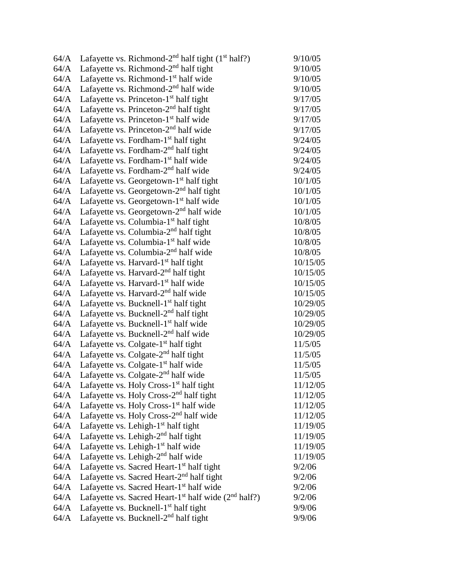| 64/A | Lafayette vs. Richmond- $2nd$ half tight (1 <sup>st</sup> half?)             | 9/10/05  |
|------|------------------------------------------------------------------------------|----------|
| 64/A | Lafayette vs. Richmond- $2nd$ half tight                                     | 9/10/05  |
| 64/A | Lafayette vs. Richmond-1 <sup>st</sup> half wide                             | 9/10/05  |
| 64/A | Lafayette vs. Richmond- $2nd$ half wide                                      | 9/10/05  |
| 64/A | Lafayette vs. Princeton-1 <sup>st</sup> half tight                           | 9/17/05  |
| 64/A | Lafayette vs. Princeton- $2nd$ half tight                                    | 9/17/05  |
| 64/A | Lafayette vs. Princeton-1 <sup>st</sup> half wide                            | 9/17/05  |
| 64/A | Lafayette vs. Princeton- $2nd$ half wide                                     | 9/17/05  |
| 64/A | Lafayette vs. Fordham- $1st$ half tight                                      | 9/24/05  |
| 64/A | Lafayette vs. Fordham-2 <sup>nd</sup> half tight                             | 9/24/05  |
| 64/A | Lafayette vs. Fordham-1 <sup>st</sup> half wide                              | 9/24/05  |
| 64/A | Lafayette vs. Fordham-2 <sup>nd</sup> half wide                              | 9/24/05  |
| 64/A | Lafayette vs. Georgetown- $1st$ half tight                                   | 10/1/05  |
| 64/A | Lafayette vs. Georgetown- $2nd$ half tight                                   | 10/1/05  |
| 64/A | Lafayette vs. Georgetown-1 <sup>st</sup> half wide                           | 10/1/05  |
| 64/A | Lafayette vs. Georgetown-2 <sup>nd</sup> half wide                           | 10/1/05  |
| 64/A | Lafayette vs. Columbia-1 <sup>st</sup> half tight                            | 10/8/05  |
| 64/A | Lafayette vs. Columbia- $2nd$ half tight                                     | 10/8/05  |
| 64/A | Lafayette vs. Columbia-1 <sup>st</sup> half wide                             | 10/8/05  |
| 64/A | Lafayette vs. Columbia-2 <sup>nd</sup> half wide                             | 10/8/05  |
| 64/A | Lafayette vs. Harvard-1 <sup>st</sup> half tight                             | 10/15/05 |
| 64/A | Lafayette vs. Harvard-2 <sup>nd</sup> half tight                             | 10/15/05 |
| 64/A | Lafayette vs. Harvard-1 <sup>st</sup> half wide                              | 10/15/05 |
| 64/A | Lafayette vs. Harvard-2 <sup>nd</sup> half wide                              | 10/15/05 |
| 64/A | Lafayette vs. Bucknell-1 <sup>st</sup> half tight                            | 10/29/05 |
| 64/A | Lafayette vs. Bucknell- $2nd$ half tight                                     | 10/29/05 |
| 64/A | Lafayette vs. Bucknell-1 <sup>st</sup> half wide                             | 10/29/05 |
| 64/A | Lafayette vs. Bucknell-2 <sup>nd</sup> half wide                             | 10/29/05 |
| 64/A | Lafayette vs. Colgate- $1st$ half tight                                      | 11/5/05  |
| 64/A | Lafayette vs. Colgate- $2nd$ half tight                                      | 11/5/05  |
| 64/A | Lafayette vs. Colgate- $1st$ half wide                                       | 11/5/05  |
| 64/A | Lafayette vs. Colgate- $2nd$ half wide                                       | 11/5/05  |
| 64/A | Lafayette vs. Holy Cross-1 <sup>st</sup> half tight                          | 11/12/05 |
| 64/A | Lafayette vs. Holy Cross-2 <sup>nd</sup> half tight                          | 11/12/05 |
| 64/A | Lafayette vs. Holy Cross-1 <sup>st</sup> half wide                           | 11/12/05 |
| 64/A | Lafayette vs. Holy Cross- $2nd$ half wide                                    | 11/12/05 |
| 64/A | Lafayette vs. Lehigh-1 <sup>st</sup> half tight                              | 11/19/05 |
| 64/A | Lafayette vs. Lehigh-2 <sup>nd</sup> half tight                              | 11/19/05 |
| 64/A | Lafayette vs. Lehigh-1 <sup>st</sup> half wide                               | 11/19/05 |
| 64/A | Lafayette vs. Lehigh-2 <sup>nd</sup> half wide                               | 11/19/05 |
| 64/A | Lafayette vs. Sacred Heart-1 <sup>st</sup> half tight                        | 9/2/06   |
| 64/A | Lafayette vs. Sacred Heart-2 <sup>nd</sup> half tight                        | 9/2/06   |
| 64/A | Lafayette vs. Sacred Heart-1 <sup>st</sup> half wide                         | 9/2/06   |
| 64/A | Lafayette vs. Sacred Heart-1 <sup>st</sup> half wide (2 <sup>nd</sup> half?) | 9/2/06   |
| 64/A | Lafayette vs. Bucknell-1 <sup>st</sup> half tight                            | 9/9/06   |
| 64/A | Lafayette vs. Bucknell- $2nd$ half tight                                     | 9/9/06   |
|      |                                                                              |          |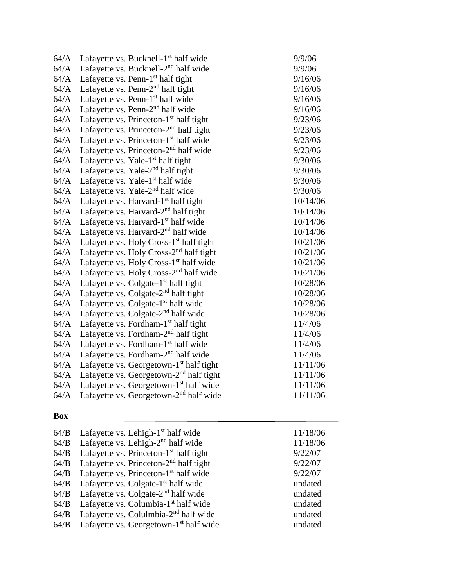| 64/A | Lafayette vs. Bucknell-1 <sup>st</sup> half wide    | 9/9/06   |
|------|-----------------------------------------------------|----------|
| 64/A | Lafayette vs. Bucknell-2 <sup>nd</sup> half wide    | 9/9/06   |
| 64/A | Lafayette vs. Penn-1 <sup>st</sup> half tight       | 9/16/06  |
| 64/A | Lafayette vs. Penn- $2nd$ half tight                | 9/16/06  |
| 64/A | Lafayette vs. Penn-1 <sup>st</sup> half wide        | 9/16/06  |
| 64/A | Lafayette vs. Penn- $2nd$ half wide                 | 9/16/06  |
| 64/A | Lafayette vs. Princeton- $1st$ half tight           | 9/23/06  |
| 64/A | Lafayette vs. Princeton- $2nd$ half tight           | 9/23/06  |
| 64/A | Lafayette vs. Princeton-1 <sup>st</sup> half wide   | 9/23/06  |
| 64/A | Lafayette vs. Princeton-2 <sup>nd</sup> half wide   | 9/23/06  |
| 64/A | Lafayette vs. Yale- $1st$ half tight                | 9/30/06  |
| 64/A | Lafayette vs. Yale- $2nd$ half tight                | 9/30/06  |
| 64/A | Lafayette vs. Yale-1 <sup>st</sup> half wide        | 9/30/06  |
| 64/A | Lafayette vs. Yale- $2nd$ half wide                 | 9/30/06  |
| 64/A | Lafayette vs. Harvard- $1st$ half tight             | 10/14/06 |
| 64/A | Lafayette vs. Harvard-2 <sup>nd</sup> half tight    | 10/14/06 |
| 64/A | Lafayette vs. Harvard-1 <sup>st</sup> half wide     | 10/14/06 |
| 64/A | Lafayette vs. Harvard-2 <sup>nd</sup> half wide     | 10/14/06 |
| 64/A | Lafayette vs. Holy Cross-1 <sup>st</sup> half tight | 10/21/06 |
| 64/A | Lafayette vs. Holy Cross-2 <sup>nd</sup> half tight | 10/21/06 |
| 64/A | Lafayette vs. Holy Cross-1 <sup>st</sup> half wide  | 10/21/06 |
| 64/A | Lafayette vs. Holy Cross-2 <sup>nd</sup> half wide  | 10/21/06 |
| 64/A | Lafayette vs. Colgate- $1st$ half tight             | 10/28/06 |
| 64/A | Lafayette vs. Colgate- $2nd$ half tight             | 10/28/06 |
| 64/A | Lafayette vs. Colgate-1 <sup>st</sup> half wide     | 10/28/06 |
| 64/A | Lafayette vs. Colgate-2 <sup>nd</sup> half wide     | 10/28/06 |
| 64/A | Lafayette vs. Fordham-1 <sup>st</sup> half tight    | 11/4/06  |
| 64/A | Lafayette vs. Fordham- $2nd$ half tight             | 11/4/06  |
| 64/A | Lafayette vs. Fordham-1 <sup>st</sup> half wide     | 11/4/06  |
| 64/A | Lafayette vs. Fordham-2 <sup>nd</sup> half wide     | 11/4/06  |
| 64/A | Lafayette vs. Georgetown- $1st$ half tight          | 11/11/06 |
| 64/A | Lafayette vs. Georgetown-2 <sup>nd</sup> half tight | 11/11/06 |
| 64/A | Lafayette vs. Georgetown-1st half wide              | 11/11/06 |
| 64/A | Lafayette vs. Georgetown- $2nd$ half wide           | 11/11/06 |

| 64/B | Lafayette vs. Lehigh- $1st$ half wide              | 11/18/06 |
|------|----------------------------------------------------|----------|
| 64/B | Lafayette vs. Lehigh-2 <sup>nd</sup> half wide     | 11/18/06 |
| 64/B | Lafayette vs. Princeton-1 <sup>st</sup> half tight | 9/22/07  |
| 64/B | Lafayette vs. Princeton- $2nd$ half tight          | 9/22/07  |
| 64/B | Lafayette vs. Princeton-1 <sup>st</sup> half wide  | 9/22/07  |
| 64/B | Lafayette vs. Colgate-1 <sup>st</sup> half wide    | undated  |
| 64/B | Lafayette vs. Colgate- $2nd$ half wide             | undated  |
| 64/B | Lafayette vs. Columbia-1 <sup>st</sup> half wide   | undated  |
| 64/B | Lafayette vs. Colulmbia-2 <sup>nd</sup> half wide  | undated  |
| 64/B | Lafayette vs. Georgetown-1 <sup>st</sup> half wide | undated  |
|      |                                                    |          |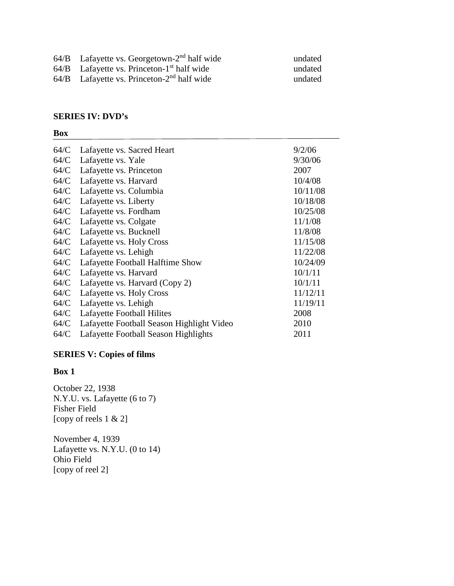- $64/B$  Lafayette vs. Georgetown-2<sup>nd</sup> half wide undated
- 64/B Lafayette vs. Princeton-1<sup>st</sup> half wide undated

64/B Lafayette vs. Princeton-2nd half wide undated

#### **SERIES IV: DVD's**

#### **Box**

| 64/C | Lafayette vs. Sacred Heart                | 9/2/06   |
|------|-------------------------------------------|----------|
| 64/C | Lafayette vs. Yale                        | 9/30/06  |
| 64/C | Lafayette vs. Princeton                   | 2007     |
| 64/C | Lafayette vs. Harvard                     | 10/4/08  |
| 64/C | Lafayette vs. Columbia                    | 10/11/08 |
| 64/C | Lafayette vs. Liberty                     | 10/18/08 |
| 64/C | Lafayette vs. Fordham                     | 10/25/08 |
| 64/C | Lafayette vs. Colgate                     | 11/1/08  |
| 64/C | Lafayette vs. Bucknell                    | 11/8/08  |
| 64/C | Lafayette vs. Holy Cross                  | 11/15/08 |
| 64/C | Lafayette vs. Lehigh                      | 11/22/08 |
| 64/C | Lafayette Football Halftime Show          | 10/24/09 |
| 64/C | Lafayette vs. Harvard                     | 10/1/11  |
| 64/C | Lafayette vs. Harvard (Copy 2)            | 10/1/11  |
| 64/C | Lafayette vs. Holy Cross                  | 11/12/11 |
| 64/C | Lafayette vs. Lehigh                      | 11/19/11 |
| 64/C | Lafayette Football Hilites                | 2008     |
| 64/C | Lafayette Football Season Highlight Video | 2010     |
| 64/C | Lafayette Football Season Highlights      | 2011     |

#### **SERIES V: Copies of films**

#### **Box 1**

October 22, 1938 N.Y.U. vs. Lafayette (6 to 7) Fisher Field [copy of reels 1 & 2]

November 4, 1939 Lafayette vs. N.Y.U. (0 to 14) Ohio Field [copy of reel 2]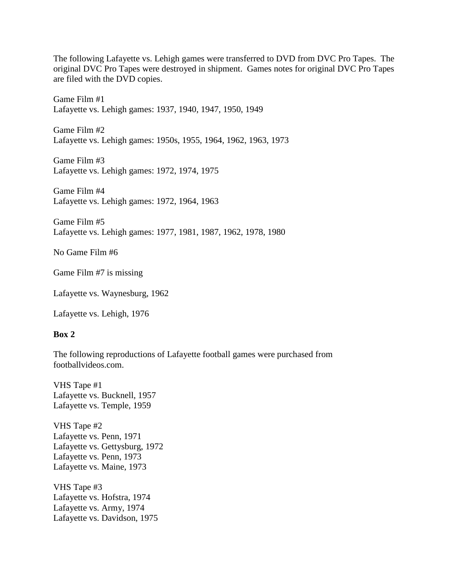The following Lafayette vs. Lehigh games were transferred to DVD from DVC Pro Tapes. The original DVC Pro Tapes were destroyed in shipment. Games notes for original DVC Pro Tapes are filed with the DVD copies.

Game Film #1 Lafayette vs. Lehigh games: 1937, 1940, 1947, 1950, 1949

Game Film #2 Lafayette vs. Lehigh games: 1950s, 1955, 1964, 1962, 1963, 1973

Game Film #3 Lafayette vs. Lehigh games: 1972, 1974, 1975

Game Film #4 Lafayette vs. Lehigh games: 1972, 1964, 1963

Game Film #5 Lafayette vs. Lehigh games: 1977, 1981, 1987, 1962, 1978, 1980

No Game Film #6

Game Film #7 is missing

Lafayette vs. Waynesburg, 1962

Lafayette vs. Lehigh, 1976

#### **Box 2**

The following reproductions of Lafayette football games were purchased from footballvideos.com.

VHS Tape #1 Lafayette vs. Bucknell, 1957 Lafayette vs. Temple, 1959

VHS Tape #2 Lafayette vs. Penn, 1971 Lafayette vs. Gettysburg, 1972 Lafayette vs. Penn, 1973 Lafayette vs. Maine, 1973

VHS Tape #3 Lafayette vs. Hofstra, 1974 Lafayette vs. Army, 1974 Lafayette vs. Davidson, 1975